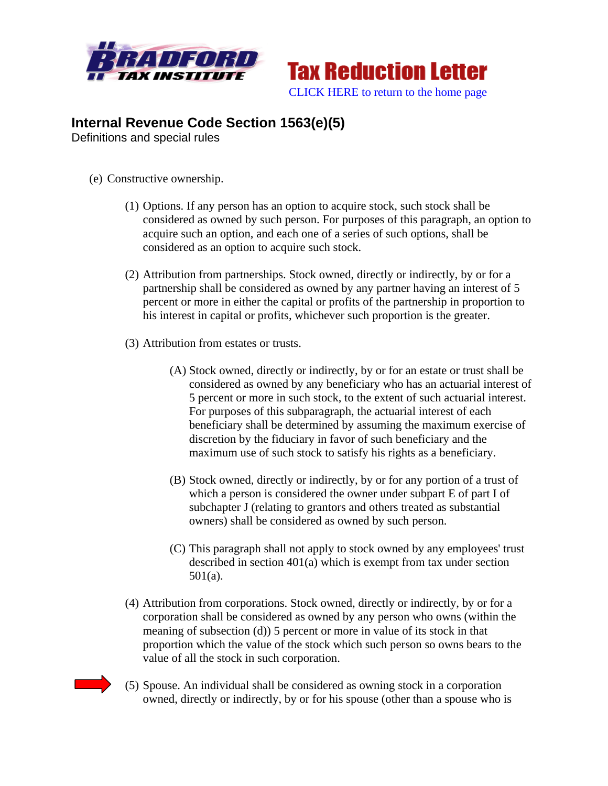



## **Internal Revenue Code Section 1563(e)(5)**

Definitions and special rules

- (e) Constructive ownership.
	- (1) Options. If any person has an option to acquire stock, such stock shall be considered as owned by such person. For purposes of this paragraph, an option to acquire such an option, and each one of a series of such options, shall be considered as an option to acquire such stock.
	- (2) Attribution from partnerships. Stock owned, directly or indirectly, by or for a partnership shall be considered as owned by any partner having an interest of 5 percent or more in either the capital or profits of the partnership in proportion to his interest in capital or profits, whichever such proportion is the greater.
	- (3) Attribution from estates or trusts.
		- (A) Stock owned, directly or indirectly, by or for an estate or trust shall be considered as owned by any beneficiary who has an actuarial interest of 5 percent or more in such stock, to the extent of such actuarial interest. For purposes of this subparagraph, the actuarial interest of each beneficiary shall be determined by assuming the maximum exercise of discretion by the fiduciary in favor of such beneficiary and the maximum use of such stock to satisfy his rights as a beneficiary.
		- (B) Stock owned, directly or indirectly, by or for any portion of a trust of which a person is considered the owner under subpart E of part I of subchapter J (relating to grantors and others treated as substantial owners) shall be considered as owned by such person.
		- (C) This paragraph shall not apply to stock owned by any employees' trust described in section 401(a) which is exempt from tax under section 501(a).
	- (4) Attribution from corporations. Stock owned, directly or indirectly, by or for a corporation shall be considered as owned by any person who owns (within the meaning of subsection (d)) 5 percent or more in value of its stock in that proportion which the value of the stock which such person so owns bears to the value of all the stock in such corporation.
	- (5) Spouse. An individual shall be considered as owning stock in a corporation owned, directly or indirectly, by or for his spouse (other than a spouse who is